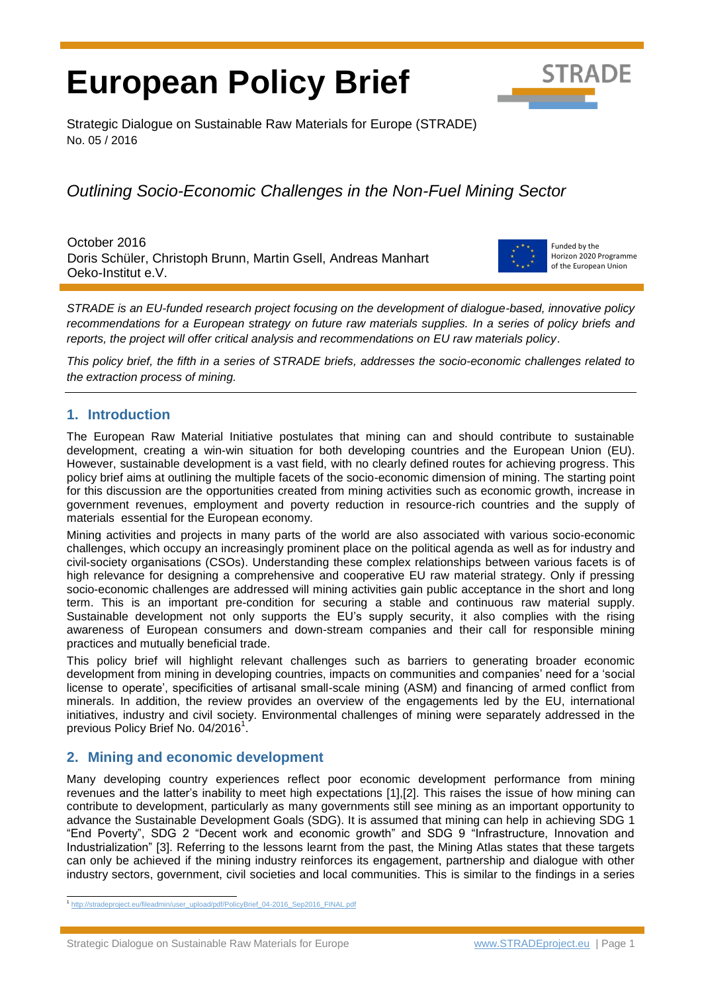# **European Policy Brief**



Strategic Dialogue on Sustainable Raw Materials for Europe (STRADE) No. 05 / 2016

# *Outlining Socio-Economic Challenges in the Non-Fuel Mining Sector*

October 2016 Doris Schüler, Christoph Brunn, Martin Gsell, Andreas Manhart Oeko-Institut e.V.



Funded by the Horizon 2020 Programme of the European Union

*STRADE is an EU-funded research project focusing on the development of dialogue-based, innovative policy recommendations for a European strategy on future raw materials supplies. In a series of policy briefs and reports, the project will offer critical analysis and recommendations on EU raw materials policy*.

*This policy brief, the fifth in a series of STRADE briefs, addresses the socio-economic challenges related to the extraction process of mining.* 

# **1. Introduction**

The European Raw Material Initiative postulates that mining can and should contribute to sustainable development, creating a win-win situation for both developing countries and the European Union (EU). However, sustainable development is a vast field, with no clearly defined routes for achieving progress. This policy brief aims at outlining the multiple facets of the socio-economic dimension of mining. The starting point for this discussion are the opportunities created from mining activities such as economic growth, increase in government revenues, employment and poverty reduction in resource-rich countries and the supply of materials essential for the European economy.

Mining activities and projects in many parts of the world are also associated with various socio-economic challenges, which occupy an increasingly prominent place on the political agenda as well as for industry and civil-society organisations (CSOs). Understanding these complex relationships between various facets is of high relevance for designing a comprehensive and cooperative EU raw material strategy. Only if pressing socio-economic challenges are addressed will mining activities gain public acceptance in the short and long term. This is an important pre-condition for securing a stable and continuous raw material supply. Sustainable development not only supports the EU's supply security, it also complies with the rising awareness of European consumers and down-stream companies and their call for responsible mining practices and mutually beneficial trade.

This policy brief will highlight relevant challenges such as barriers to generating broader economic development from mining in developing countries, impacts on communities and companies' need for a 'social license to operate', specificities of artisanal small-scale mining (ASM) and financing of armed conflict from minerals. In addition, the review provides an overview of the engagements led by the EU, international initiatives, industry and civil society. Environmental challenges of mining were separately addressed in the previous Policy Brief No. 04/2016<sup>1</sup>.

# **2. Mining and economic development**

Many developing country experiences reflect poor economic development performance from mining revenues and the latter's inability to meet high expectations [1],[2]. This raises the issue of how mining can contribute to development, particularly as many governments still see mining as an important opportunity to advance the Sustainable Development Goals (SDG). It is assumed that mining can help in achieving SDG 1 "End Poverty", SDG 2 "Decent work and economic growth" and SDG 9 "Infrastructure, Innovation and Industrialization" [3]. Referring to the lessons learnt from the past, the Mining Atlas states that these targets can only be achieved if the mining industry reinforces its engagement, partnership and dialogue with other industry sectors, government, civil societies and local communities. This is similar to the findings in a series

Strategic Dialogue on Sustainable Raw Materials for Europe [www.STRADEproject.eu](http://www.stradeproject.eu/) | Page 1

 $\overline{a}$ <sup>1</sup> [http://stradeproject.eu/fileadmin/user\\_upload/pdf/PolicyBrief\\_04-2016\\_Sep2016\\_FINAL.pdf](http://stradeproject.eu/fileadmin/user_upload/pdf/PolicyBrief_04-2016_Sep2016_FINAL.pdf)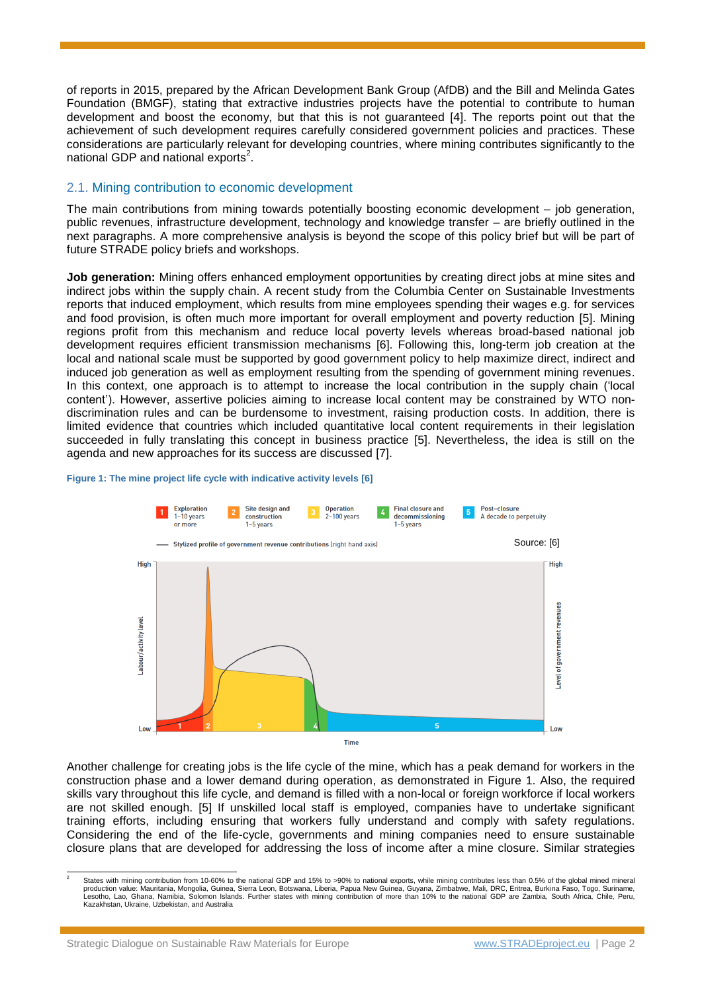of reports in 2015, prepared by the African Development Bank Group (AfDB) and the Bill and Melinda Gates Foundation (BMGF), stating that extractive industries projects have the potential to contribute to human development and boost the economy, but that this is not guaranteed [4]. The reports point out that the achievement of such development requires carefully considered government policies and practices. These considerations are particularly relevant for developing countries, where mining contributes significantly to the national GDP and national exports<sup>2</sup>.

#### 2.1. Mining contribution to economic development

The main contributions from mining towards potentially boosting economic development – job generation, public revenues, infrastructure development, technology and knowledge transfer – are briefly outlined in the next paragraphs. A more comprehensive analysis is beyond the scope of this policy brief but will be part of future STRADE policy briefs and workshops.

**Job generation:** Mining offers enhanced employment opportunities by creating direct jobs at mine sites and indirect jobs within the supply chain. A recent study from the Columbia Center on Sustainable Investments reports that induced employment, which results from mine employees spending their wages e.g. for services and food provision, is often much more important for overall employment and poverty reduction [5]. Mining regions profit from this mechanism and reduce local poverty levels whereas broad-based national job development requires efficient transmission mechanisms [6]. Following this, long-term job creation at the local and national scale must be supported by good government policy to help maximize direct, indirect and induced job generation as well as employment resulting from the spending of government mining revenues. In this context, one approach is to attempt to increase the local contribution in the supply chain ('local content'). However, assertive policies aiming to increase local content may be constrained by WTO nondiscrimination rules and can be burdensome to investment, raising production costs. In addition, there is limited evidence that countries which included quantitative local content requirements in their legislation succeeded in fully translating this concept in business practice [5]. Nevertheless, the idea is still on the agenda and new approaches for its success are discussed [7].

#### **Figure 1: The mine project life cycle with indicative activity levels [6]**



Another challenge for creating jobs is the life cycle of the mine, which has a peak demand for workers in the construction phase and a lower demand during operation, as demonstrated in Figure 1. Also, the required skills vary throughout this life cycle, and demand is filled with a non-local or foreign workforce if local workers are not skilled enough. [5] If unskilled local staff is employed, companies have to undertake significant training efforts, including ensuring that workers fully understand and comply with safety regulations. Considering the end of the life-cycle, governments and mining companies need to ensure sustainable closure plans that are developed for addressing the loss of income after a mine closure. Similar strategies

 $\overline{a}$ 2 States with mining contribution from 10-60% to the national GDP and 15% to >90% to national exports, while mining contributes less than 0.5% of the global mined mineral production value: Mauritania, Mongolia, Guinea, Sierra Leon, Botswana, Liberia, Papua New Guinea, Guyana, Zimbabwe, Mali, DRC, Eritrea, Burkina Faso, Togo, Suriname,<br>Lesotho, Lao, Ghana, Namibia, Solomon Islands. Further s Kazakhstan, Ukraine, Uzbekistan, and Australia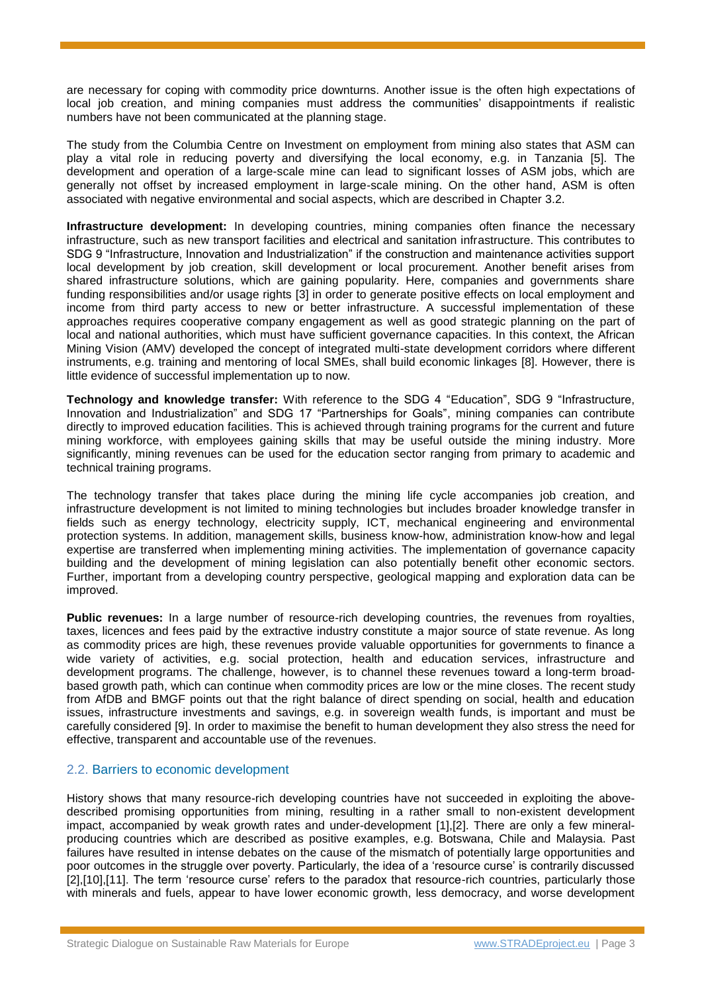are necessary for coping with commodity price downturns. Another issue is the often high expectations of local job creation, and mining companies must address the communities' disappointments if realistic numbers have not been communicated at the planning stage.

The study from the Columbia Centre on Investment on employment from mining also states that ASM can play a vital role in reducing poverty and diversifying the local economy, e.g. in Tanzania [5]. The development and operation of a large-scale mine can lead to significant losses of ASM jobs, which are generally not offset by increased employment in large-scale mining. On the other hand, ASM is often associated with negative environmental and social aspects, which are described in Chapter [3.2.](#page-4-0)

**Infrastructure development:** In developing countries, mining companies often finance the necessary infrastructure, such as new transport facilities and electrical and sanitation infrastructure. This contributes to SDG 9 "Infrastructure, Innovation and Industrialization" if the construction and maintenance activities support local development by job creation, skill development or local procurement. Another benefit arises from shared infrastructure solutions, which are gaining popularity. Here, companies and governments share funding responsibilities and/or usage rights [3] in order to generate positive effects on local employment and income from third party access to new or better infrastructure. A successful implementation of these approaches requires cooperative company engagement as well as good strategic planning on the part of local and national authorities, which must have sufficient governance capacities. In this context, the African Mining Vision (AMV) developed the concept of integrated multi-state development corridors where different instruments, e.g. training and mentoring of local SMEs, shall build economic linkages [8]. However, there is little evidence of successful implementation up to now.

**Technology and knowledge transfer:** With reference to the SDG 4 "Education", SDG 9 "Infrastructure, Innovation and Industrialization" and SDG 17 "Partnerships for Goals", mining companies can contribute directly to improved education facilities. This is achieved through training programs for the current and future mining workforce, with employees gaining skills that may be useful outside the mining industry. More significantly, mining revenues can be used for the education sector ranging from primary to academic and technical training programs.

The technology transfer that takes place during the mining life cycle accompanies job creation, and infrastructure development is not limited to mining technologies but includes broader knowledge transfer in fields such as energy technology, electricity supply, ICT, mechanical engineering and environmental protection systems. In addition, management skills, business know-how, administration know-how and legal expertise are transferred when implementing mining activities. The implementation of governance capacity building and the development of mining legislation can also potentially benefit other economic sectors. Further, important from a developing country perspective, geological mapping and exploration data can be improved.

**Public revenues:** In a large number of resource-rich developing countries, the revenues from royalties, taxes, licences and fees paid by the extractive industry constitute a major source of state revenue. As long as commodity prices are high, these revenues provide valuable opportunities for governments to finance a wide variety of activities, e.g. social protection, health and education services, infrastructure and development programs. The challenge, however, is to channel these revenues toward a long-term broadbased growth path, which can continue when commodity prices are low or the mine closes. The recent study from AfDB and BMGF points out that the right balance of direct spending on social, health and education issues, infrastructure investments and savings, e.g. in sovereign wealth funds, is important and must be carefully considered [9]. In order to maximise the benefit to human development they also stress the need for effective, transparent and accountable use of the revenues.

#### 2.2. Barriers to economic development

History shows that many resource-rich developing countries have not succeeded in exploiting the abovedescribed promising opportunities from mining, resulting in a rather small to non-existent development impact, accompanied by weak growth rates and under-development [1],[2]. There are only a few mineralproducing countries which are described as positive examples, e.g. Botswana, Chile and Malaysia. Past failures have resulted in intense debates on the cause of the mismatch of potentially large opportunities and poor outcomes in the struggle over poverty. Particularly, the idea of a 'resource curse' is contrarily discussed [2],[10],[11]. The term 'resource curse' refers to the paradox that resource-rich countries, particularly those with minerals and fuels, appear to have lower economic growth, less democracy, and worse development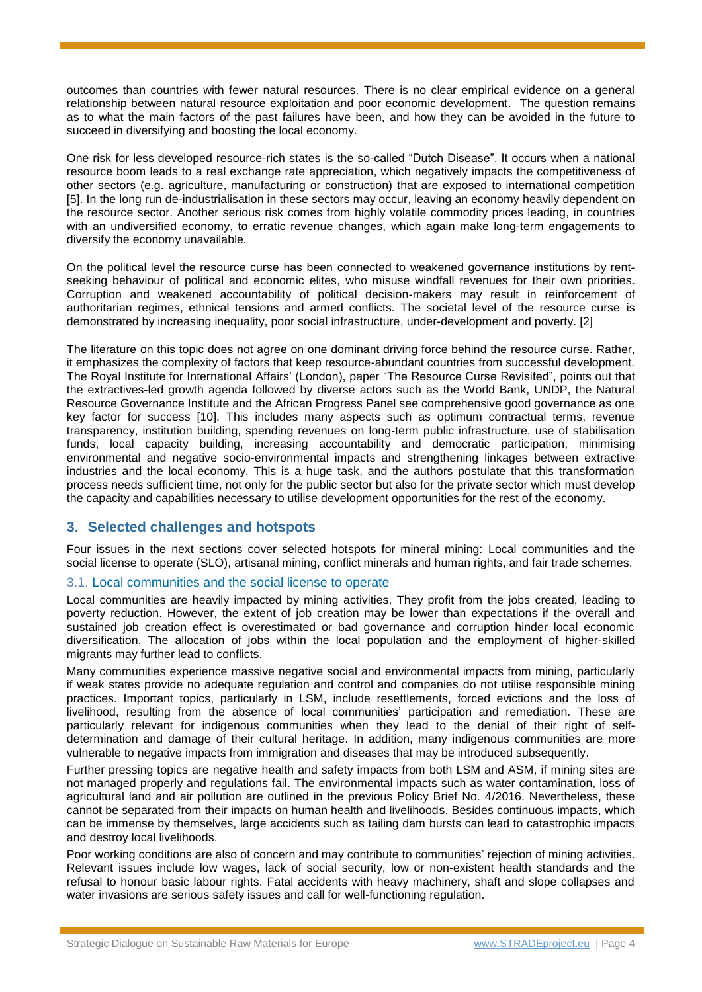outcomes than countries with fewer natural resources. There is no clear empirical evidence on a general relationship between natural resource exploitation and poor economic development. The question remains as to what the main factors of the past failures have been, and how they can be avoided in the future to succeed in diversifying and boosting the local economy.

One risk for less developed resource-rich states is the so-called "Dutch Disease". It occurs when a national resource boom leads to a real exchange rate appreciation, which negatively impacts the competitiveness of other sectors (e.g. agriculture, manufacturing or construction) that are exposed to international competition [5]. In the long run de-industrialisation in these sectors may occur, leaving an economy heavily dependent on the resource sector. Another serious risk comes from highly volatile commodity prices leading, in countries with an undiversified economy, to erratic revenue changes, which again make long-term engagements to diversify the economy unavailable.

On the political level the resource curse has been connected to weakened governance institutions by rentseeking behaviour of political and economic elites, who misuse windfall revenues for their own priorities. Corruption and weakened accountability of political decision-makers may result in reinforcement of authoritarian regimes, ethnical tensions and armed conflicts. The societal level of the resource curse is demonstrated by increasing inequality, poor social infrastructure, under-development and poverty. [2]

The literature on this topic does not agree on one dominant driving force behind the resource curse. Rather, it emphasizes the complexity of factors that keep resource-abundant countries from successful development. The Royal Institute for International Affairs' (London), paper "The Resource Curse Revisited", points out that the extractives-led growth agenda followed by diverse actors such as the World Bank, UNDP, the Natural Resource Governance Institute and the African Progress Panel see comprehensive good governance as one key factor for success [10]. This includes many aspects such as optimum contractual terms, revenue transparency, institution building, spending revenues on long-term public infrastructure, use of stabilisation funds, local capacity building, increasing accountability and democratic participation, minimising environmental and negative socio-environmental impacts and strengthening linkages between extractive industries and the local economy. This is a huge task, and the authors postulate that this transformation process needs sufficient time, not only for the public sector but also for the private sector which must develop the capacity and capabilities necessary to utilise development opportunities for the rest of the economy.

## **3. Selected challenges and hotspots**

Four issues in the next sections cover selected hotspots for mineral mining: Local communities and the social license to operate (SLO), artisanal mining, conflict minerals and human rights, and fair trade schemes.

#### 3.1. Local communities and the social license to operate

Local communities are heavily impacted by mining activities. They profit from the jobs created, leading to poverty reduction. However, the extent of job creation may be lower than expectations if the overall and sustained job creation effect is overestimated or bad governance and corruption hinder local economic diversification. The allocation of jobs within the local population and the employment of higher-skilled migrants may further lead to conflicts.

Many communities experience massive negative social and environmental impacts from mining, particularly if weak states provide no adequate regulation and control and companies do not utilise responsible mining practices. Important topics, particularly in LSM, include resettlements, forced evictions and the loss of livelihood, resulting from the absence of local communities' participation and remediation. These are particularly relevant for indigenous communities when they lead to the denial of their right of selfdetermination and damage of their cultural heritage. In addition, many indigenous communities are more vulnerable to negative impacts from immigration and diseases that may be introduced subsequently.

Further pressing topics are negative health and safety impacts from both LSM and ASM, if mining sites are not managed properly and regulations fail. The environmental impacts such as water contamination, loss of agricultural land and air pollution are outlined in the previous Policy Brief No. 4/2016. Nevertheless, these cannot be separated from their impacts on human health and livelihoods. Besides continuous impacts, which can be immense by themselves, large accidents such as tailing dam bursts can lead to catastrophic impacts and destroy local livelihoods.

Poor working conditions are also of concern and may contribute to communities' rejection of mining activities. Relevant issues include low wages, lack of social security, low or non-existent health standards and the refusal to honour basic labour rights. Fatal accidents with heavy machinery, shaft and slope collapses and water invasions are serious safety issues and call for well-functioning regulation.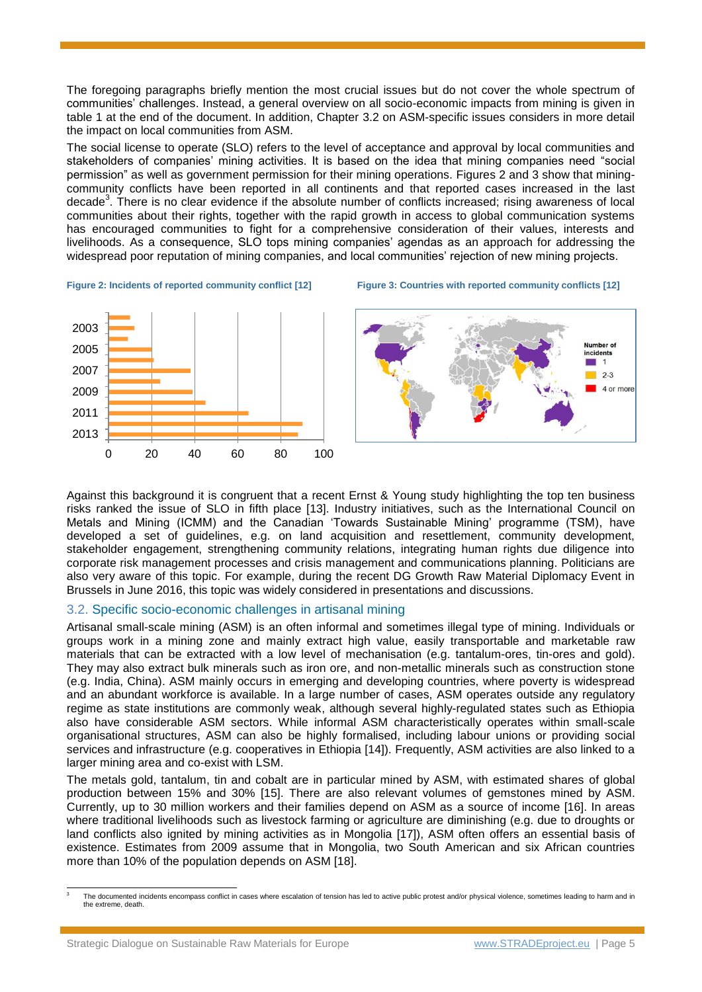The foregoing paragraphs briefly mention the most crucial issues but do not cover the whole spectrum of communities' challenges. Instead, a general overview on all socio-economic impacts from mining is given in table 1 at the end of the document. In addition, Chapter [3.2](#page-4-0) on ASM-specific issues considers in more detail the impact on local communities from ASM.

The social license to operate (SLO) refers to the level of acceptance and approval by local communities and stakeholders of companies' mining activities. It is based on the idea that mining companies need "social permission" as well as government permission for their mining operations. Figures 2 and 3 show that miningcommunity conflicts have been reported in all continents and that reported cases increased in the last decade<sup>3</sup>. There is no clear evidence if the absolute number of conflicts increased; rising awareness of local communities about their rights, together with the rapid growth in access to global communication systems has encouraged communities to fight for a comprehensive consideration of their values, interests and livelihoods. As a consequence, SLO tops mining companies' agendas as an approach for addressing the widespread poor reputation of mining companies, and local communities' rejection of new mining projects.







Against this background it is congruent that a recent Ernst & Young study highlighting the top ten business risks ranked the issue of SLO in fifth place [13]. Industry initiatives, such as the International Council on Metals and Mining (ICMM) and the Canadian 'Towards Sustainable Mining' programme (TSM), have developed a set of guidelines, e.g. on land acquisition and resettlement, community development, stakeholder engagement, strengthening community relations, integrating human rights due diligence into corporate risk management processes and crisis management and communications planning. Politicians are also very aware of this topic. For example, during the recent DG Growth Raw Material Diplomacy Event in Brussels in June 2016, this topic was widely considered in presentations and discussions.

#### <span id="page-4-0"></span>3.2. Specific socio-economic challenges in artisanal mining

Artisanal small-scale mining (ASM) is an often informal and sometimes illegal type of mining. Individuals or groups work in a mining zone and mainly extract high value, easily transportable and marketable raw materials that can be extracted with a low level of mechanisation (e.g. tantalum-ores, tin-ores and gold). They may also extract bulk minerals such as iron ore, and non-metallic minerals such as construction stone (e.g. India, China). ASM mainly occurs in emerging and developing countries, where poverty is widespread and an abundant workforce is available. In a large number of cases, ASM operates outside any regulatory regime as state institutions are commonly weak, although several highly-regulated states such as Ethiopia also have considerable ASM sectors. While informal ASM characteristically operates within small-scale organisational structures, ASM can also be highly formalised, including labour unions or providing social services and infrastructure (e.g. cooperatives in Ethiopia [14]). Frequently, ASM activities are also linked to a larger mining area and co-exist with LSM.

The metals gold, tantalum, tin and cobalt are in particular mined by ASM, with estimated shares of global production between 15% and 30% [15]. There are also relevant volumes of gemstones mined by ASM. Currently, up to 30 million workers and their families depend on ASM as a source of income [16]. In areas where traditional livelihoods such as livestock farming or agriculture are diminishing (e.g. due to droughts or land conflicts also ignited by mining activities as in Mongolia [17]), ASM often offers an essential basis of existence. Estimates from 2009 assume that in Mongolia, two South American and six African countries more than 10% of the population depends on ASM [18].

 $\overline{a}$ 3 The documented incidents encompass conflict in cases where escalation of tension has led to active public protest and/or physical violence, sometimes leading to harm and in the extreme, death.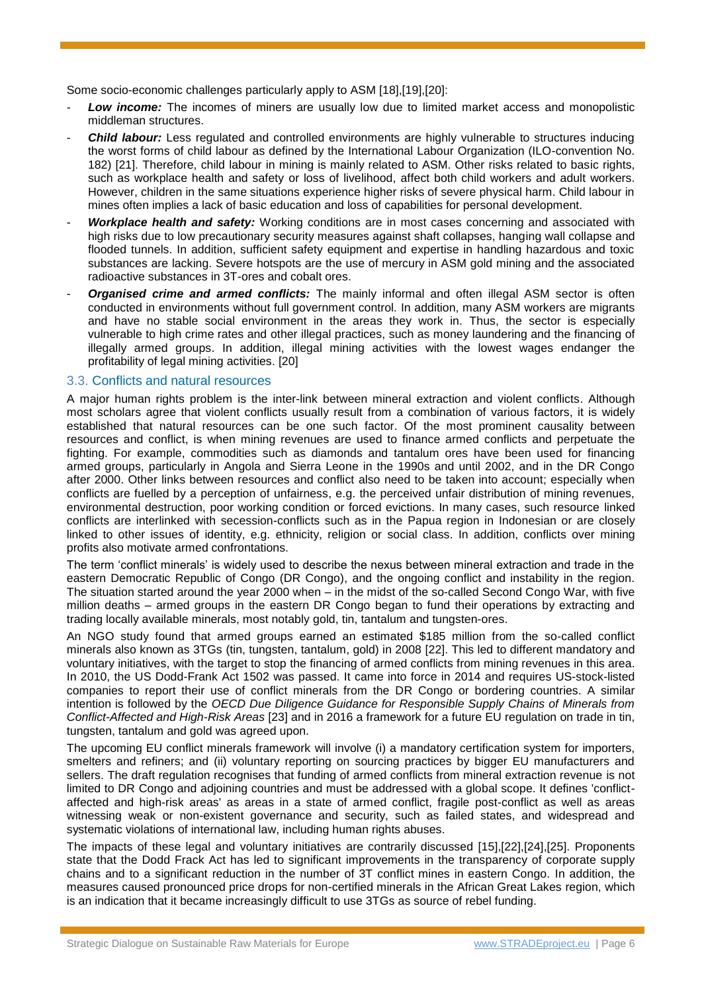Some socio-economic challenges particularly apply to ASM [18],[19],[20]:

- Low *income:* The incomes of miners are usually low due to limited market access and monopolistic middleman structures.
- **Child labour:** Less regulated and controlled environments are highly vulnerable to structures inducing the worst forms of child labour as defined by the International Labour Organization (ILO-convention No. 182) [21]. Therefore, child labour in mining is mainly related to ASM. Other risks related to basic rights, such as workplace health and safety or loss of livelihood, affect both child workers and adult workers. However, children in the same situations experience higher risks of severe physical harm. Child labour in mines often implies a lack of basic education and loss of capabilities for personal development.
- Workplace health and safety: Working conditions are in most cases concerning and associated with high risks due to low precautionary security measures against shaft collapses, hanging wall collapse and flooded tunnels. In addition, sufficient safety equipment and expertise in handling hazardous and toxic substances are lacking. Severe hotspots are the use of mercury in ASM gold mining and the associated radioactive substances in 3T-ores and cobalt ores.
- **Organised crime and armed conflicts:** The mainly informal and often illegal ASM sector is often conducted in environments without full government control. In addition, many ASM workers are migrants and have no stable social environment in the areas they work in. Thus, the sector is especially vulnerable to high crime rates and other illegal practices, such as money laundering and the financing of illegally armed groups. In addition, illegal mining activities with the lowest wages endanger the profitability of legal mining activities. [20]

#### <span id="page-5-0"></span>3.3. Conflicts and natural resources

A major human rights problem is the inter-link between mineral extraction and violent conflicts. Although most scholars agree that violent conflicts usually result from a combination of various factors, it is widely established that natural resources can be one such factor. Of the most prominent causality between resources and conflict, is when mining revenues are used to finance armed conflicts and perpetuate the fighting. For example, commodities such as diamonds and tantalum ores have been used for financing armed groups, particularly in Angola and Sierra Leone in the 1990s and until 2002, and in the DR Congo after 2000. Other links between resources and conflict also need to be taken into account; especially when conflicts are fuelled by a perception of unfairness, e.g. the perceived unfair distribution of mining revenues, environmental destruction, poor working condition or forced evictions. In many cases, such resource linked conflicts are interlinked with secession-conflicts such as in the Papua region in Indonesian or are closely linked to other issues of identity, e.g. [ethnicity,](https://en.wikipedia.org/wiki/Ethnicity) [religion](https://en.wikipedia.org/wiki/Religion) or [social class.](https://en.wikipedia.org/wiki/Social_class) In addition, conflicts over mining profits also motivate armed confrontations.

The term 'conflict minerals' is widely used to describe the nexus between mineral extraction and trade in the eastern Democratic Republic of Congo (DR Congo), and the ongoing conflict and instability in the region. The situation started around the year 2000 when – in the midst of the so-called Second Congo War, with five million deaths – armed groups in the eastern DR Congo began to fund their operations by extracting and trading locally available minerals, most notably gold, tin, tantalum and tungsten-ores.

An NGO study found that armed groups earned an estimated \$185 million from the so-called conflict minerals also known as 3TGs (tin, tungsten, tantalum, gold) in 2008 [22]. This led to different mandatory and voluntary initiatives, with the target to stop the financing of armed conflicts from mining revenues in this area. In 2010, the US Dodd-Frank Act 1502 was passed. It came into force in 2014 and requires US-stock-listed companies to report their use of conflict minerals from the DR Congo or bordering countries. A similar intention is followed by the *OECD Due Diligence Guidance for Responsible Supply Chains of Minerals from Conflict-Affected and High-Risk Areas* [23] and in 2016 a framework for a future EU regulation on trade in tin, tungsten, tantalum and gold was agreed upon.

The upcoming EU conflict minerals framework will involve (i) a mandatory certification system for importers, smelters and refiners; and (ii) voluntary reporting on sourcing practices by bigger EU manufacturers and sellers. The draft regulation recognises that funding of armed conflicts from mineral extraction revenue is not limited to DR Congo and adjoining countries and must be addressed with a global scope. It defines 'conflictaffected and high-risk areas' as areas in a state of armed conflict, fragile post-conflict as well as areas witnessing weak or non-existent governance and security, such as failed states, and widespread and systematic violations of international law, including human rights abuses.

The impacts of these legal and voluntary initiatives are contrarily discussed [15],[22],[24],[25]. Proponents state that the Dodd Frack Act has led to significant improvements in the transparency of corporate supply chains and to a significant reduction in the number of 3T conflict mines in eastern Congo. In addition, the measures caused pronounced price drops for non-certified minerals in the African Great Lakes region, which is an indication that it became increasingly difficult to use 3TGs as source of rebel funding.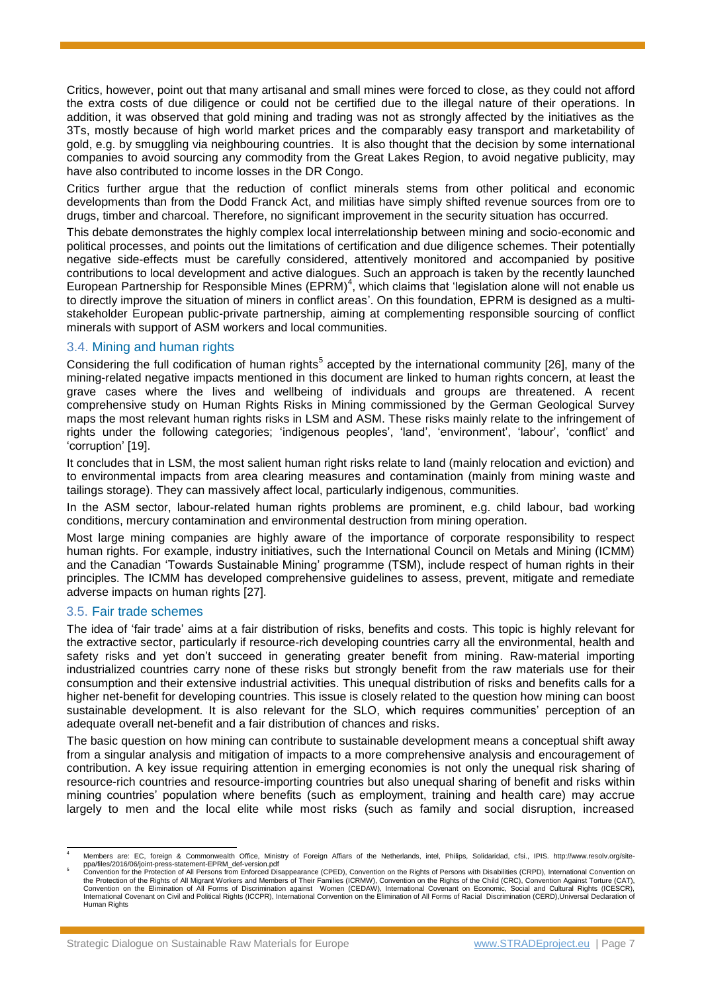Critics, however, point out that many artisanal and small mines were forced to close, as they could not afford the extra costs of due diligence or could not be certified due to the illegal nature of their operations. In addition, it was observed that gold mining and trading was not as strongly affected by the initiatives as the 3Ts, mostly because of high world market prices and the comparably easy transport and marketability of gold, e.g. by smuggling via neighbouring countries. It is also thought that the decision by some international companies to avoid sourcing any commodity from the Great Lakes Region, to avoid negative publicity, may have also contributed to income losses in the DR Congo.

Critics further argue that the reduction of conflict minerals stems from other political and economic developments than from the Dodd Franck Act, and militias have simply shifted revenue sources from ore to drugs, timber and charcoal. Therefore, no significant improvement in the security situation has occurred.

This debate demonstrates the highly complex local interrelationship between mining and socio-economic and political processes, and points out the limitations of certification and due diligence schemes. Their potentially negative side-effects must be carefully considered, attentively monitored and accompanied by positive contributions to local development and active dialogues. Such an approach is taken by the recently launched European Partnership for Responsible Mines (EPRM)<sup>4</sup>, which claims that 'legislation alone will not enable us to directly improve the situation of miners in conflict areas'. On this foundation, EPRM is designed as a multistakeholder European public-private partnership, aiming at complementing responsible sourcing of conflict minerals with support of ASM workers and local communities.

#### 3.4. Mining and human rights

Considering the full codification of human rights<sup>5</sup> accepted by the international community [26], many of the mining-related negative impacts mentioned in this document are linked to human rights concern, at least the grave cases where the lives and wellbeing of individuals and groups are threatened. A recent comprehensive study on Human Rights Risks in Mining commissioned by the German Geological Survey maps the most relevant human rights risks in LSM and ASM. These risks mainly relate to the infringement of rights under the following categories; 'indigenous peoples', 'land', 'environment', 'labour', 'conflict' and 'corruption' [19].

It concludes that in LSM, the most salient human right risks relate to land (mainly relocation and eviction) and to environmental impacts from area clearing measures and contamination (mainly from mining waste and tailings storage). They can massively affect local, particularly indigenous, communities.

In the ASM sector, labour-related human rights problems are prominent, e.g. child labour, bad working conditions, mercury contamination and environmental destruction from mining operation.

Most large mining companies are highly aware of the importance of corporate responsibility to respect human rights. For example, industry initiatives, such the International Council on Metals and Mining (ICMM) and the Canadian 'Towards Sustainable Mining' programme (TSM), include respect of human rights in their principles. The ICMM has developed comprehensive guidelines to assess, prevent, mitigate and remediate adverse impacts on human rights [27].

#### 3.5. Fair trade schemes

The idea of 'fair trade' aims at a fair distribution of risks, benefits and costs. This topic is highly relevant for the extractive sector, particularly if resource-rich developing countries carry all the environmental, health and safety risks and yet don't succeed in generating greater benefit from mining. Raw-material importing industrialized countries carry none of these risks but strongly benefit from the raw materials use for their consumption and their extensive industrial activities. This unequal distribution of risks and benefits calls for a higher net-benefit for developing countries. This issue is closely related to the question how mining can boost sustainable development. It is also relevant for the SLO, which requires communities' perception of an adequate overall net-benefit and a fair distribution of chances and risks.

The basic question on how mining can contribute to sustainable development means a conceptual shift away from a singular analysis and mitigation of impacts to a more comprehensive analysis and encouragement of contribution. A key issue requiring attention in emerging economies is not only the unequal risk sharing of resource-rich countries and resource-importing countries but also unequal sharing of benefit and risks within mining countries' population where benefits (such as employment, training and health care) may accrue largely to men and the local elite while most risks (such as family and social disruption, increased

 $\overline{a}$ Members are: EC, foreign & Commonwealth Office, Ministry of Foreign Affiars of the Netherlands, intel, Philips, Solidaridad, cfsi., IPIS. http://www.resolv.org/site-

ppa/files/2016/06/joint-press-statement-EPRM\_def-version.pdf<br>Convention for the Protection of All Persons from Enforced Disappearance (CPED), Convention on the Rights of Persons with Disabilities (CRPD), International Conv the Protection of the Rights of All Migrant Workers and Members of Their Families (ICRMW), Convention on the Rights of the Child (CRC), Convention Against Torture (CAT), Convention on the Elimination of All Forms of Discrimination against Women (CEDAW), International Covenant on Economic, Social and Cultural Rights (ICESCR),<br>International Covenant on Civil and Political Rights (ICCPR), Int Human Rights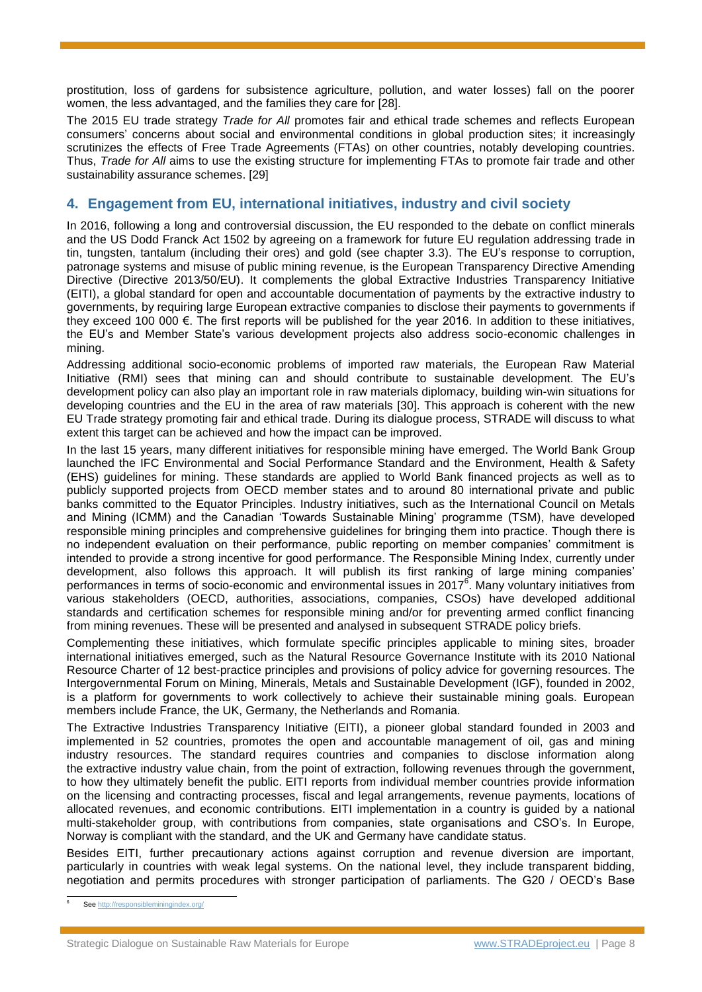prostitution, loss of gardens for subsistence agriculture, pollution, and water losses) fall on the poorer women, the less advantaged, and the families they care for [28].

The 2015 EU trade strategy *Trade for All* promotes fair and ethical trade schemes and reflects European consumers' concerns about social and environmental conditions in global production sites; it increasingly scrutinizes the effects of Free Trade Agreements (FTAs) on other countries, notably developing countries. Thus, *Trade for All* aims to use the existing structure for implementing FTAs to promote fair trade and other sustainability assurance schemes. [29]

## **4. Engagement from EU, international initiatives, industry and civil society**

In 2016, following a long and controversial discussion, the EU responded to the debate on conflict minerals and the US Dodd Franck Act 1502 by agreeing on a framework for future EU regulation addressing trade in tin, tungsten, tantalum (including their ores) and gold (see chapter [3.3\)](#page-5-0). The EU's response to corruption, patronage systems and misuse of public mining revenue, is the European Transparency Directive Amending Directive (Directive 2013/50/EU). It complements the global Extractive Industries Transparency Initiative (EITI), a global standard for open and accountable documentation of payments by the extractive industry to governments, by requiring large European extractive companies to disclose their payments to governments if they exceed 100 000 €. The first reports will be published for the year 2016. In addition to these initiatives, the EU's and Member State's various development projects also address socio-economic challenges in mining.

Addressing additional socio-economic problems of imported raw materials, the European Raw Material Initiative (RMI) sees that mining can and should contribute to sustainable development. The EU's development policy can also play an important role in raw materials diplomacy, building win-win situations for developing countries and the EU in the area of raw materials [30]. This approach is coherent with the new EU Trade strategy promoting fair and ethical trade. During its dialogue process, STRADE will discuss to what extent this target can be achieved and how the impact can be improved.

In the last 15 years, many different initiatives for responsible mining have emerged. The World Bank Group launched the IFC Environmental and Social Performance Standard and the Environment, Health & Safety (EHS) guidelines for mining. These standards are applied to World Bank financed projects as well as to publicly supported projects from OECD member states and to around 80 international private and public banks committed to the Equator Principles. Industry initiatives, such as the International Council on Metals and Mining (ICMM) and the Canadian 'Towards Sustainable Mining' programme (TSM), have developed responsible mining principles and comprehensive guidelines for bringing them into practice. Though there is no independent evaluation on their performance, public reporting on member companies' commitment is intended to provide a strong incentive for good performance. The Responsible Mining Index, currently under development, also follows this approach. It will publish its first ranking of large mining companies' performances in terms of socio-economic and environmental issues in 2017 $\tilde{e}$ . Many voluntary initiatives from various stakeholders (OECD, authorities, associations, companies, CSOs) have developed additional standards and certification schemes for responsible mining and/or for preventing armed conflict financing from mining revenues. These will be presented and analysed in subsequent STRADE policy briefs.

Complementing these initiatives, which formulate specific principles applicable to mining sites, broader international initiatives emerged, such as the Natural Resource Governance Institute with its 2010 National Resource Charter of 12 best-practice principles and provisions of policy advice for governing resources. The Intergovernmental Forum on Mining, Minerals, Metals and Sustainable Development (IGF), founded in 2002, is a platform for governments to work collectively to achieve their sustainable mining goals. European members include France, the UK, Germany, the Netherlands and Romania.

The Extractive Industries Transparency Initiative (EITI), a pioneer global standard founded in 2003 and implemented in 52 countries, promotes the open and accountable management of oil, gas and mining industry resources. The standard requires countries and companies to disclose information along the extractive industry value chain, from the point of extraction, following revenues through the government, to how they ultimately benefit the public. EITI reports from individual member countries provide information on the licensing and contracting processes, fiscal and legal arrangements, revenue payments, locations of allocated revenues, and economic contributions. EITI implementation in a country is guided by a national multi-stakeholder group, with contributions from companies, state organisations and CSO's. In Europe, Norway is compliant with the standard, and the UK and Germany have candidate status.

Besides EITI, further precautionary actions against corruption and revenue diversion are important, particularly in countries with weak legal systems. On the national level, they include transparent bidding, negotiation and permits procedures with stronger participation of parliaments. The G20 / OECD's Base

 $\overline{a}$ Se[e http://responsibleminingindex.org/](http://responsibleminingindex.org/)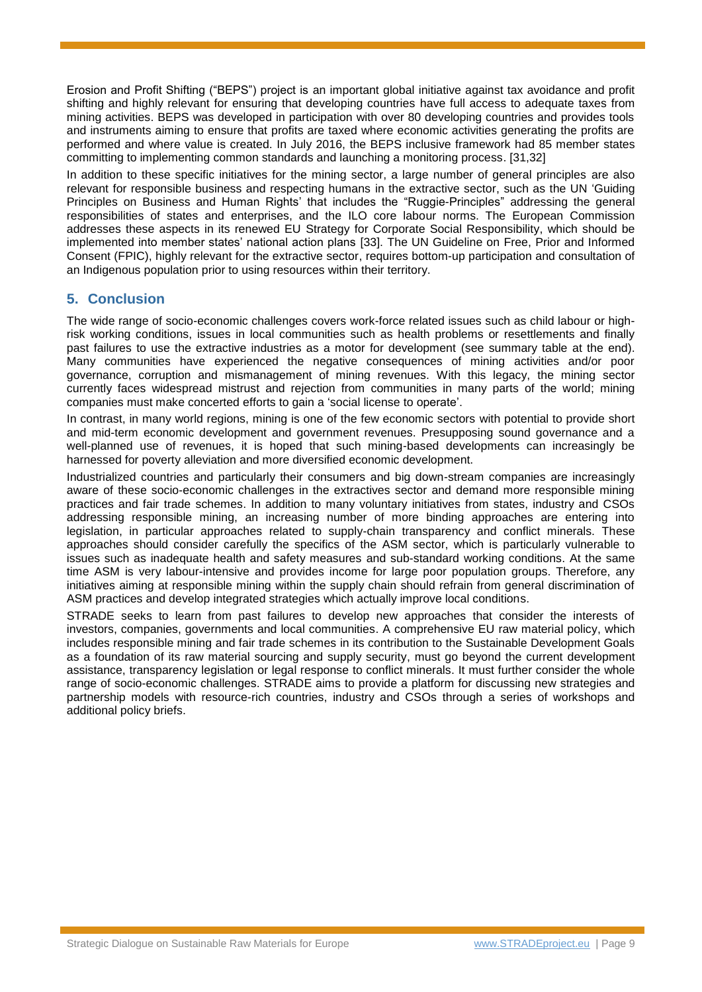Erosion and Profit Shifting ("BEPS") project is an important global initiative against tax avoidance and profit shifting and highly relevant for ensuring that developing countries have full access to adequate taxes from mining activities. BEPS was developed in participation with over 80 developing countries and provides tools and instruments aiming to ensure that profits are taxed where economic activities generating the profits are performed and where value is created. In July 2016, the BEPS inclusive framework had 85 member states committing to implementing common standards and launching a monitoring process. [31,32]

In addition to these specific initiatives for the mining sector, a large number of general principles are also relevant for responsible business and respecting humans in the extractive sector, such as the UN 'Guiding Principles on Business and Human Rights' that includes the "Ruggie-Principles" addressing the general responsibilities of states and enterprises, and the ILO core labour norms. The European Commission addresses these aspects in its renewed EU Strategy for Corporate Social Responsibility, which should be implemented into member states' national action plans [33]. The UN Guideline on Free, Prior and Informed Consent (FPIC), highly relevant for the extractive sector, requires bottom-up participation and consultation of an Indigenous population prior to using resources within their territory.

# **5. Conclusion**

The wide range of socio-economic challenges covers work-force related issues such as child labour or highrisk working conditions, issues in local communities such as health problems or resettlements and finally past failures to use the extractive industries as a motor for development (see summary table at the end). Many communities have experienced the negative consequences of mining activities and/or poor governance, corruption and mismanagement of mining revenues. With this legacy, the mining sector currently faces widespread mistrust and rejection from communities in many parts of the world; mining companies must make concerted efforts to gain a 'social license to operate'.

In contrast, in many world regions, mining is one of the few economic sectors with potential to provide short and mid-term economic development and government revenues. Presupposing sound governance and a well-planned use of revenues, it is hoped that such mining-based developments can increasingly be harnessed for poverty alleviation and more diversified economic development.

Industrialized countries and particularly their consumers and big down-stream companies are increasingly aware of these socio-economic challenges in the extractives sector and demand more responsible mining practices and fair trade schemes. In addition to many voluntary initiatives from states, industry and CSOs addressing responsible mining, an increasing number of more binding approaches are entering into legislation, in particular approaches related to supply-chain transparency and conflict minerals. These approaches should consider carefully the specifics of the ASM sector, which is particularly vulnerable to issues such as inadequate health and safety measures and sub-standard working conditions. At the same time ASM is very labour-intensive and provides income for large poor population groups. Therefore, any initiatives aiming at responsible mining within the supply chain should refrain from general discrimination of ASM practices and develop integrated strategies which actually improve local conditions.

STRADE seeks to learn from past failures to develop new approaches that consider the interests of investors, companies, governments and local communities. A comprehensive EU raw material policy, which includes responsible mining and fair trade schemes in its contribution to the Sustainable Development Goals as a foundation of its raw material sourcing and supply security, must go beyond the current development assistance, transparency legislation or legal response to conflict minerals. It must further consider the whole range of socio-economic challenges. STRADE aims to provide a platform for discussing new strategies and partnership models with resource-rich countries, industry and CSOs through a series of workshops and additional policy briefs.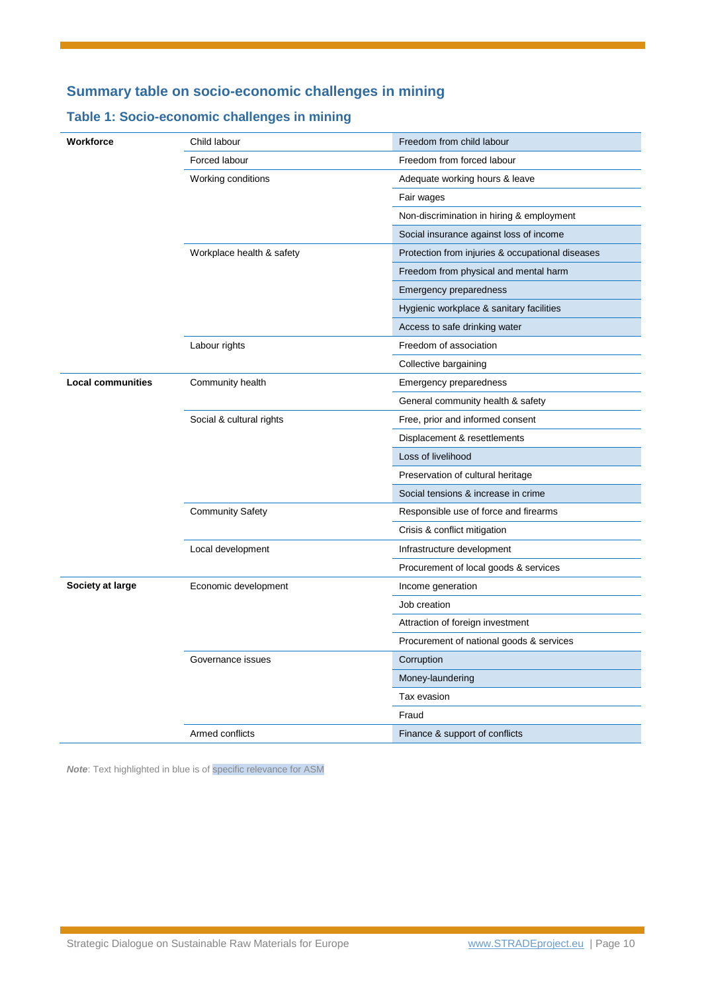# **Summary table on socio-economic challenges in mining**

# **Table 1: Socio-economic challenges in mining**

| Workforce                | Child labour              | Freedom from child labour                        |
|--------------------------|---------------------------|--------------------------------------------------|
|                          | Forced labour             | Freedom from forced labour                       |
|                          | Working conditions        | Adequate working hours & leave                   |
|                          |                           | Fair wages                                       |
|                          |                           | Non-discrimination in hiring & employment        |
|                          |                           | Social insurance against loss of income          |
|                          | Workplace health & safety | Protection from injuries & occupational diseases |
|                          |                           | Freedom from physical and mental harm            |
|                          |                           | <b>Emergency preparedness</b>                    |
|                          |                           | Hygienic workplace & sanitary facilities         |
|                          |                           | Access to safe drinking water                    |
|                          | Labour rights             | Freedom of association                           |
|                          |                           | Collective bargaining                            |
| <b>Local communities</b> | Community health          | <b>Emergency preparedness</b>                    |
|                          |                           | General community health & safety                |
|                          | Social & cultural rights  | Free, prior and informed consent                 |
|                          |                           | Displacement & resettlements                     |
|                          |                           | Loss of livelihood                               |
|                          |                           | Preservation of cultural heritage                |
|                          |                           | Social tensions & increase in crime              |
|                          | <b>Community Safety</b>   | Responsible use of force and firearms            |
|                          |                           | Crisis & conflict mitigation                     |
|                          | Local development         | Infrastructure development                       |
|                          |                           | Procurement of local goods & services            |
| Society at large         | Economic development      | Income generation                                |
|                          |                           | Job creation                                     |
|                          |                           | Attraction of foreign investment                 |
|                          |                           | Procurement of national goods & services         |
|                          | Governance issues         | Corruption                                       |
|                          |                           | Money-laundering                                 |
|                          |                           | Tax evasion                                      |
|                          |                           | Fraud                                            |
|                          | Armed conflicts           | Finance & support of conflicts                   |

*Note*: Text highlighted in blue is of specific relevance for ASM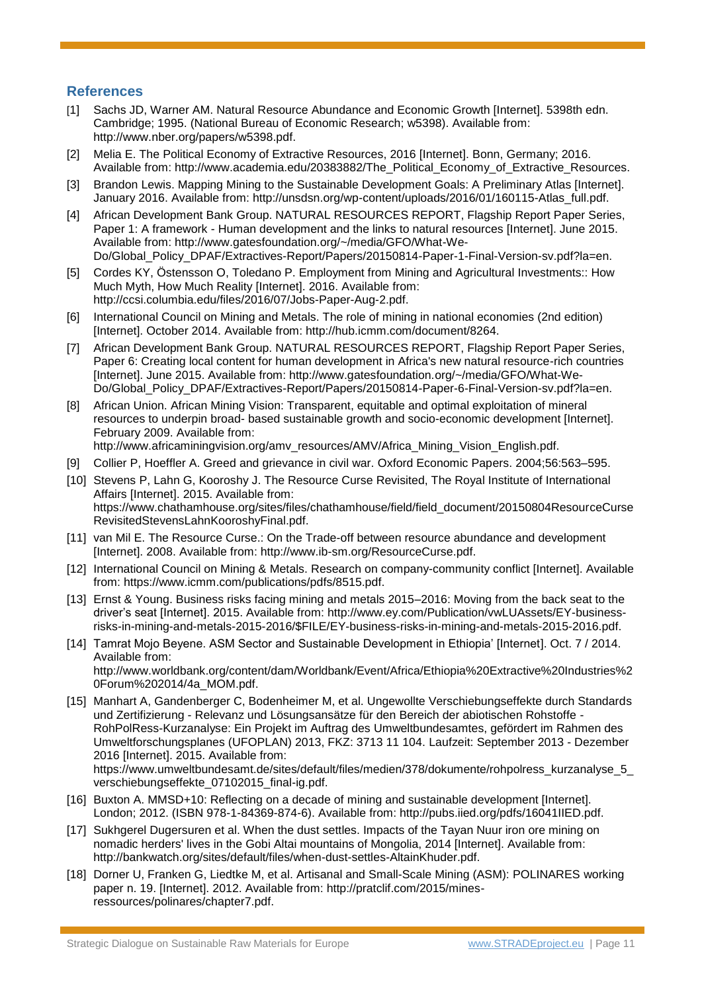# **References**

- [1] Sachs JD, Warner AM. Natural Resource Abundance and Economic Growth [Internet]. 5398th edn. Cambridge; 1995. (National Bureau of Economic Research; w5398). Available from: http://www.nber.org/papers/w5398.pdf.
- [2] Melia E. The Political Economy of Extractive Resources, 2016 [Internet]. Bonn, Germany; 2016. Available from: http://www.academia.edu/20383882/The\_Political\_Economy\_of\_Extractive\_Resources.
- [3] Brandon Lewis. Mapping Mining to the Sustainable Development Goals: A Preliminary Atlas [Internet]. January 2016. Available from: http://unsdsn.org/wp-content/uploads/2016/01/160115-Atlas\_full.pdf.
- [4] African Development Bank Group. NATURAL RESOURCES REPORT, Flagship Report Paper Series, Paper 1: A framework - Human development and the links to natural resources [Internet]. June 2015. Available from: http://www.gatesfoundation.org/~/media/GFO/What-We-Do/Global\_Policy\_DPAF/Extractives-Report/Papers/20150814-Paper-1-Final-Version-sv.pdf?la=en.
- [5] Cordes KY, Östensson O, Toledano P. Employment from Mining and Agricultural Investments:: How Much Myth, How Much Reality [Internet]. 2016. Available from: http://ccsi.columbia.edu/files/2016/07/Jobs-Paper-Aug-2.pdf.
- [6] International Council on Mining and Metals. The role of mining in national economies (2nd edition) [Internet]. October 2014. Available from: http://hub.icmm.com/document/8264.
- [7] African Development Bank Group. NATURAL RESOURCES REPORT, Flagship Report Paper Series, Paper 6: Creating local content for human development in Africa's new natural resource-rich countries [Internet]. June 2015. Available from: http://www.gatesfoundation.org/~/media/GFO/What-We-Do/Global Policy DPAF/Extractives-Report/Papers/20150814-Paper-6-Final-Version-sv.pdf?la=en.
- [8] African Union. African Mining Vision: Transparent, equitable and optimal exploitation of mineral resources to underpin broad- based sustainable growth and socio-economic development [Internet]. February 2009. Available from: http://www.africaminingvision.org/amy\_resources/AMV/Africa\_Mining\_Vision\_English.pdf.
- [9] Collier P, Hoeffler A. Greed and grievance in civil war. Oxford Economic Papers. 2004;56:563–595.
- [10] Stevens P, Lahn G, Kooroshy J. The Resource Curse Revisited, The Royal Institute of International Affairs [Internet]. 2015. Available from: https://www.chathamhouse.org/sites/files/chathamhouse/field/field\_document/20150804ResourceCurse RevisitedStevensLahnKooroshyFinal.pdf.
- [11] van Mil E. The Resource Curse.: On the Trade-off between resource abundance and development [Internet]. 2008. Available from: http://www.ib-sm.org/ResourceCurse.pdf.
- [12] International Council on Mining & Metals. Research on company-community conflict [Internet]. Available from: https://www.icmm.com/publications/pdfs/8515.pdf.
- [13] Ernst & Young. Business risks facing mining and metals 2015–2016: Moving from the back seat to the driver's seat [Internet]. 2015. Available from: http://www.ey.com/Publication/vwLUAssets/EY-businessrisks-in-mining-and-metals-2015-2016/\$FILE/EY-business-risks-in-mining-and-metals-2015-2016.pdf.
- [14] Tamrat Mojo Beyene. ASM Sector and Sustainable Development in Ethiopia' [Internet]. Oct. 7 / 2014. Available from: http://www.worldbank.org/content/dam/Worldbank/Event/Africa/Ethiopia%20Extractive%20Industries%2 0Forum%202014/4a\_MOM.pdf.
- [15] Manhart A, Gandenberger C, Bodenheimer M, et al. Ungewollte Verschiebungseffekte durch Standards und Zertifizierung - Relevanz und Lösungsansätze für den Bereich der abiotischen Rohstoffe - RohPolRess-Kurzanalyse: Ein Projekt im Auftrag des Umweltbundesamtes, gefördert im Rahmen des Umweltforschungsplanes (UFOPLAN) 2013, FKZ: 3713 11 104. Laufzeit: September 2013 - Dezember 2016 [Internet]. 2015. Available from: https://www.umweltbundesamt.de/sites/default/files/medien/378/dokumente/rohpolress\_kurzanalyse\_5 verschiebungseffekte 07102015 final-ig.pdf.
- [16] Buxton A. MMSD+10: Reflecting on a decade of mining and sustainable development [Internet]. London; 2012. (ISBN 978-1-84369-874-6). Available from: http://pubs.iied.org/pdfs/16041IIED.pdf.
- [17] Sukhgerel Dugersuren et al. When the dust settles. Impacts of the Tayan Nuur iron ore mining on nomadic herders' lives in the Gobi Altai mountains of Mongolia, 2014 [Internet]. Available from: http://bankwatch.org/sites/default/files/when-dust-settles-AltainKhuder.pdf.
- [18] Dorner U, Franken G, Liedtke M, et al. Artisanal and Small-Scale Mining (ASM): POLINARES working paper n. 19. [Internet]. 2012. Available from: http://pratclif.com/2015/minesressources/polinares/chapter7.pdf.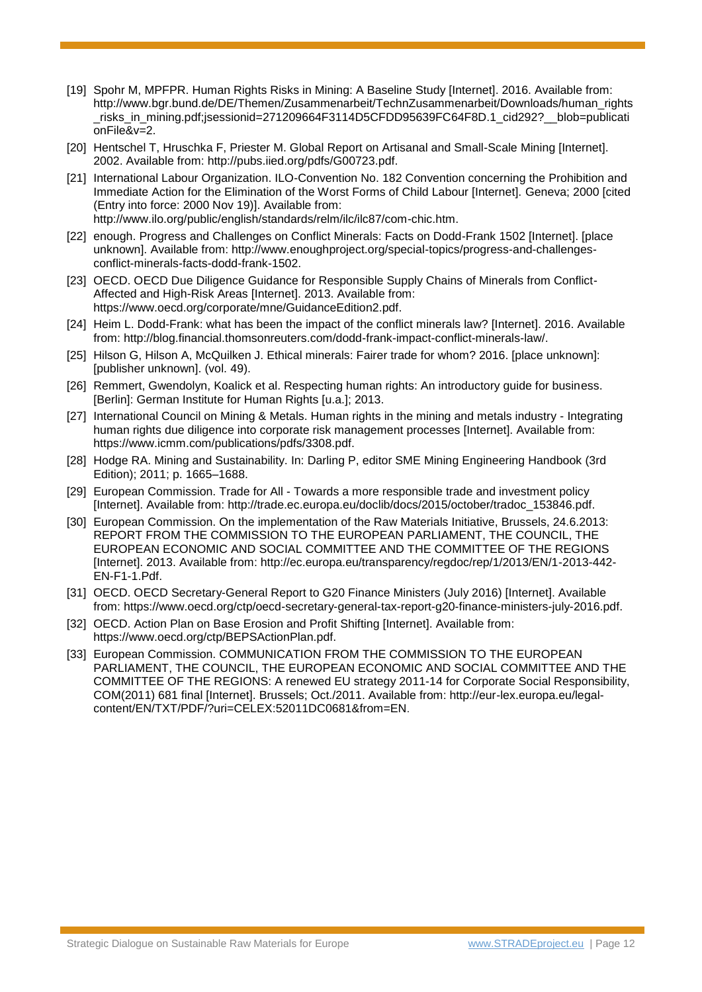- [19] Spohr M, MPFPR. Human Rights Risks in Mining: A Baseline Study [Internet]. 2016. Available from: http://www.bgr.bund.de/DE/Themen/Zusammenarbeit/TechnZusammenarbeit/Downloads/human\_rights \_risks\_in\_mining.pdf;jsessionid=271209664F3114D5CFDD95639FC64F8D.1\_cid292?\_\_blob=publicati onFile&v=2.
- [20] Hentschel T, Hruschka F, Priester M. Global Report on Artisanal and Small-Scale Mining [Internet]. 2002. Available from: http://pubs.iied.org/pdfs/G00723.pdf.
- [21] International Labour Organization. ILO-Convention No. 182 Convention concerning the Prohibition and Immediate Action for the Elimination of the Worst Forms of Child Labour [Internet]. Geneva; 2000 [cited (Entry into force: 2000 Nov 19)]. Available from: http://www.ilo.org/public/english/standards/relm/ilc/ilc87/com-chic.htm.
- [22] enough. Progress and Challenges on Conflict Minerals: Facts on Dodd-Frank 1502 [Internet]. [place unknown]. Available from: http://www.enoughproject.org/special-topics/progress-and-challengesconflict-minerals-facts-dodd-frank-1502.
- [23] OECD. OECD Due Diligence Guidance for Responsible Supply Chains of Minerals from Conflict-Affected and High-Risk Areas [Internet]. 2013. Available from: https://www.oecd.org/corporate/mne/GuidanceEdition2.pdf.
- [24] Heim L. Dodd-Frank: what has been the impact of the conflict minerals law? [Internet]. 2016. Available from: http://blog.financial.thomsonreuters.com/dodd-frank-impact-conflict-minerals-law/.
- [25] Hilson G, Hilson A, McQuilken J. Ethical minerals: Fairer trade for whom? 2016. [place unknown]: [publisher unknown]. (vol. 49).
- [26] Remmert, Gwendolyn, Koalick et al. Respecting human rights: An introductory guide for business. [Berlin]: German Institute for Human Rights [u.a.]; 2013.
- [27] International Council on Mining & Metals. Human rights in the mining and metals industry Integrating human rights due diligence into corporate risk management processes [Internet]. Available from: https://www.icmm.com/publications/pdfs/3308.pdf.
- [28] Hodge RA. Mining and Sustainability. In: Darling P, editor SME Mining Engineering Handbook (3rd Edition); 2011; p. 1665–1688.
- [29] European Commission. Trade for All Towards a more responsible trade and investment policy [Internet]. Available from: http://trade.ec.europa.eu/doclib/docs/2015/october/tradoc\_153846.pdf.
- [30] European Commission. On the implementation of the Raw Materials Initiative, Brussels, 24.6.2013: REPORT FROM THE COMMISSION TO THE EUROPEAN PARLIAMENT, THE COUNCIL, THE EUROPEAN ECONOMIC AND SOCIAL COMMITTEE AND THE COMMITTEE OF THE REGIONS [Internet]. 2013. Available from: http://ec.europa.eu/transparency/regdoc/rep/1/2013/EN/1-2013-442- EN-F1-1.Pdf.
- [31] OECD. OECD Secretary-General Report to G20 Finance Ministers (July 2016) [Internet]. Available from: https://www.oecd.org/ctp/oecd-secretary-general-tax-report-g20-finance-ministers-july-2016.pdf.
- [32] OECD. Action Plan on Base Erosion and Profit Shifting [Internet]. Available from: https://www.oecd.org/ctp/BEPSActionPlan.pdf.
- [33] European Commission. COMMUNICATION FROM THE COMMISSION TO THE EUROPEAN PARLIAMENT, THE COUNCIL, THE EUROPEAN ECONOMIC AND SOCIAL COMMITTEE AND THE COMMITTEE OF THE REGIONS: A renewed EU strategy 2011-14 for Corporate Social Responsibility, COM(2011) 681 final [Internet]. Brussels; Oct./2011. Available from: http://eur-lex.europa.eu/legalcontent/EN/TXT/PDF/?uri=CELEX:52011DC0681&from=EN.